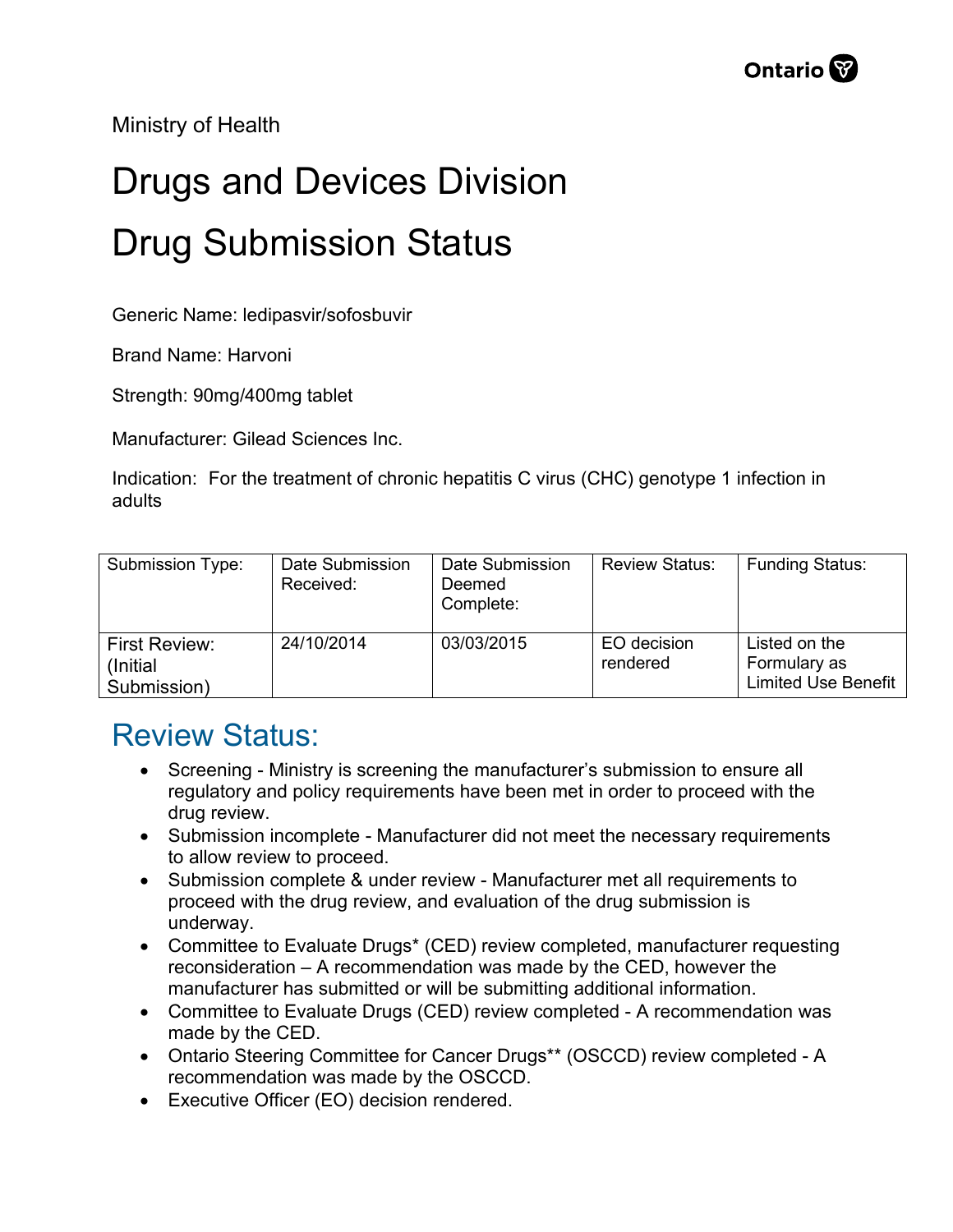Ministry of Health

## Drugs and Devices Division Drug Submission Status

Generic Name: ledipasvir/sofosbuvir

Brand Name: Harvoni

Strength: 90mg/400mg tablet

Manufacturer: Gilead Sciences Inc.

Indication: For the treatment of chronic hepatitis C virus (CHC) genotype 1 infection in adults

| Submission Type:                          | Date Submission<br>Received: | Date Submission<br>Deemed<br>Complete: | <b>Review Status:</b>   | <b>Funding Status:</b>                                      |
|-------------------------------------------|------------------------------|----------------------------------------|-------------------------|-------------------------------------------------------------|
| First Review:<br>(Initial)<br>Submission) | 24/10/2014                   | 03/03/2015                             | EO decision<br>rendered | Listed on the<br>Formulary as<br><b>Limited Use Benefit</b> |

## Review Status:

- Screening Ministry is screening the manufacturer's submission to ensure all regulatory and policy requirements have been met in order to proceed with the drug review.
- Submission incomplete Manufacturer did not meet the necessary requirements to allow review to proceed.
- Submission complete & under review Manufacturer met all requirements to proceed with the drug review, and evaluation of the drug submission is underway.
- Committee to Evaluate Drugs\* (CED) review completed, manufacturer requesting reconsideration – A recommendation was made by the CED, however the manufacturer has submitted or will be submitting additional information.
- Committee to Evaluate Drugs (CED) review completed A recommendation was made by the CED.
- Ontario Steering Committee for Cancer Drugs\*\* (OSCCD) review completed A recommendation was made by the OSCCD.
- Executive Officer (EO) decision rendered.